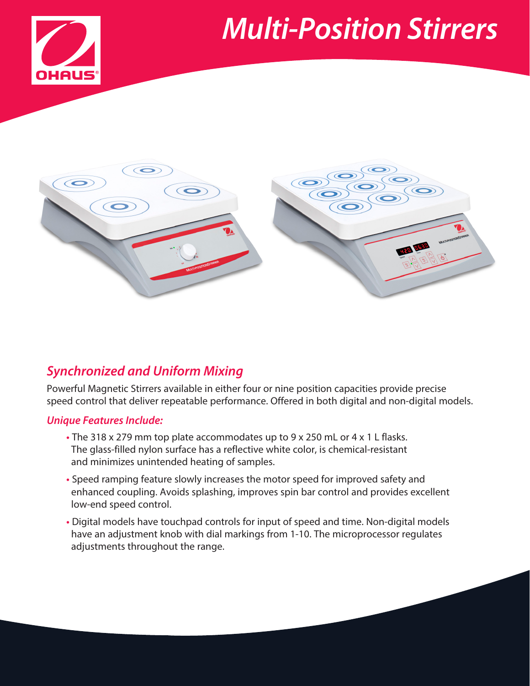# *Multi-Position Stirrers*





## *Synchronized and Uniform Mixing*

Powerful Magnetic Stirrers available in either four or nine position capacities provide precise speed control that deliver repeatable performance. Offered in both digital and non-digital models.

#### *Unique Features Include:*

- **•** The 318 x 279 mm top plate accommodates up to 9 x 250 mL or 4 x 1 L flasks. The glass-filled nylon surface has a reflective white color, is chemical-resistant and minimizes unintended heating of samples.
- **•** Speed ramping feature slowly increases the motor speed for improved safety and enhanced coupling. Avoids splashing, improves spin bar control and provides excellent low-end speed control.
- **•** Digital models have touchpad controls for input of speed and time. Non-digital models have an adjustment knob with dial markings from 1-10. The microprocessor regulates adjustments throughout the range.